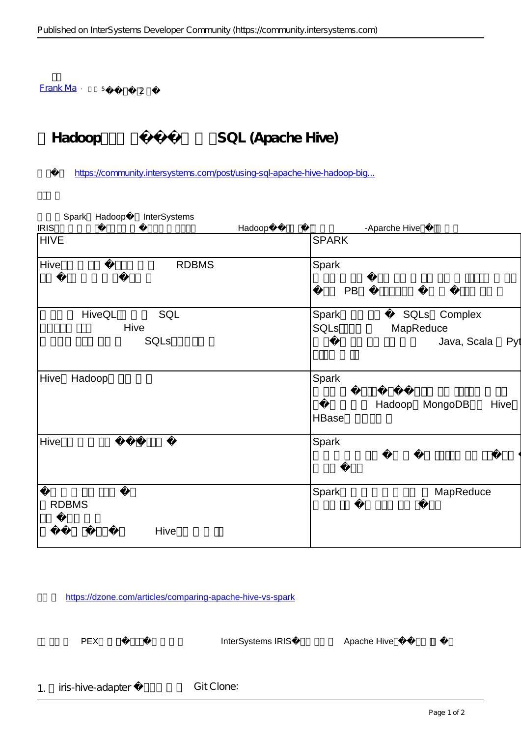$Frank Ma 5 2$  $Frank Ma 5 2$  $Frank Ma 5 2$ </u>

## Hadoop SQL (Apache Hive)

[https://community.intersystems.com/post/using-sql-apache-hive-hadoop-big...](https://community.intersystems.com/post/using-sql-apache-hive-hadoop-big-data-repositories)

| Spark Hadoop   | InterSystems |        |              |                           |
|----------------|--------------|--------|--------------|---------------------------|
| <b>IRIS</b>    |              | Hadoop |              | -Aparche Hive             |
| <b>HIVE</b>    |              |        | <b>SPARK</b> |                           |
| Hive           | <b>RDBMS</b> |        | Spark        |                           |
|                |              |        | PB           |                           |
| <b>HiveQL</b>  | SQL          |        | Spark        | SQLs<br>Complex           |
| Hive           |              |        | SQLs         | MapReduce                 |
|                | SQLs         |        |              | Java, Scala<br>Pyt        |
| Hive<br>Hadoop |              |        | Spark        |                           |
|                |              |        |              | MongoDB<br>Hive<br>Hadoop |
|                |              |        | <b>HBase</b> |                           |
| Hive           |              |        | <b>Spark</b> |                           |
|                |              |        |              |                           |
| <b>RDBMS</b>   |              |        | Spark        | MapReduce                 |
|                | Hive         |        |              |                           |

<https://dzone.com/articles/comparing-apache-hive-vs-spark>

我做了一个 PEX互操作性服务,可以让你在你的 InterSystems IRIS应用内部使用 Apache Hive。请试用如下步骤:

1. iris-hive-adapter Git Clone: